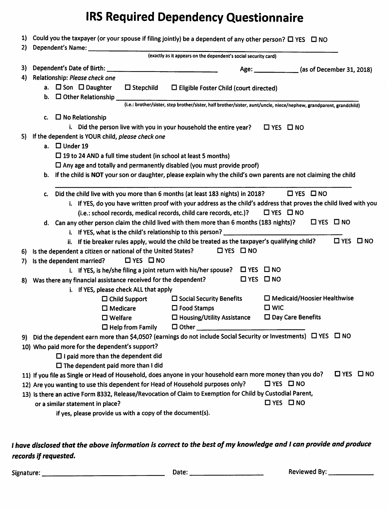## IRS Required Dependency Questionnaire

| 1) | Could you the taxpayer (or your spouse if filing jointly) be a dependent of any other person? $\Box$ YES $\Box$ NO                 |
|----|------------------------------------------------------------------------------------------------------------------------------------|
| 2) |                                                                                                                                    |
|    | (exactly as it appears on the dependent's social security card)                                                                    |
| 3) | Age: ______________ (as of December 31, 2018)                                                                                      |
| 4) | Relationship: Please check one                                                                                                     |
|    | a. $\Box$ Son $\Box$ Daughter<br>$\square$ Stepchild<br>$\Box$ Eligible Foster Child (court directed)                              |
|    | <b>b.</b> $\Box$ Other Relationship $\Box$                                                                                         |
|    | (i.e.: brother/sister, step brother/sister, half brother/sister, aunt/uncle, niece/nephew, grandparent, grandchild)                |
|    | $\Box$ No Relationship<br>c.                                                                                                       |
|    | i. Did the person live with you in your household the entire year?<br>$\Box$ YES $\Box$ NO                                         |
| 5) | If the dependent is YOUR child, please check one                                                                                   |
|    | a. $\Box$ Under 19                                                                                                                 |
|    | $\Box$ 19 to 24 AND a full time student (in school at least 5 months)                                                              |
|    | $\Box$ Any age and totally and permanently disabled (you must provide proof)                                                       |
|    | b. If the child is NOT your son or daughter, please explain why the child's own parents are not claiming the child                 |
|    |                                                                                                                                    |
|    | $\Box$ YES $\Box$ NO<br>Did the child live with you more than 6 months (at least 183 nights) in 2018?<br>c.                        |
|    | i. If YES, do you have written proof with your address as the child's address that proves the child lived with you                 |
|    | (i.e.: school records, medical records, child care records, etc.)?<br>$\Box$ YES $\Box$ NO                                         |
|    | d. Can any other person claim the child lived with them more than 6 months (183 nights)?<br>$\square$ YES $\square$ NO             |
|    | i. If YES, what is the child's relationship to this person?                                                                        |
|    | $\Box$ YES $\Box$ NO<br>ii. If tie breaker rules apply, would the child be treated as the taxpayer's qualifying child?             |
| 6) | $\Box$ YES $\Box$ NO<br>Is the dependent a citizen or national of the United States?                                               |
| 7) | $\Box$ YES $\Box$ NO<br>Is the dependent married?                                                                                  |
|    | i. If YES, is he/she filing a joint return with his/her spouse? $\Box$ YES $\Box$ NO                                               |
| 8) | $\Box$ YES $\Box$ NO<br>Was there any financial assistance received for the dependent?                                             |
|    | i. If YES, please check ALL that apply                                                                                             |
|    | $\Box$ Medicaid/Hoosier Healthwise<br>$\square$ Social Security Benefits<br>$\Box$ Child Support                                   |
|    | $\square$ WIC<br>$\square$ Food Stamps<br>$\square$ Medicare                                                                       |
|    | $\Box$ Day Care Benefits<br>$\Box$ Housing/Utility Assistance<br>$\square$ Welfare                                                 |
|    | $\square$ Other $\_$<br>$\Box$ Help from Family                                                                                    |
|    | 9) Did the dependent earn more than \$4,050? (earnings do not include Social Security or Investments) $\Box$ YES $\Box$ NO         |
|    | 10) Who paid more for the dependent's support?                                                                                     |
|    | $\Box$ I paid more than the dependent did                                                                                          |
|    | $\Box$ The dependent paid more than I did<br>$\Box$ YES $\Box$ NO                                                                  |
|    | 11) If you file as Single or Head of Household, does anyone in your household earn more money than you do?<br>$\Box$ YES $\Box$ NO |
|    | 12) Are you wanting to use this dependent for Head of Household purposes only?                                                     |
|    | 13) Is there an active Form 8332, Release/Revocation of Claim to Exemption for Child by Custodial Parent,<br>$\Box$ YES $\Box$ NO  |
|    | or a similar statement in place?                                                                                                   |
|    | if yes, please provide us with a copy of the document(s).                                                                          |

## / have disclosed that the above information is correct to the best of my knowledge and I can provide and produce records if requested.